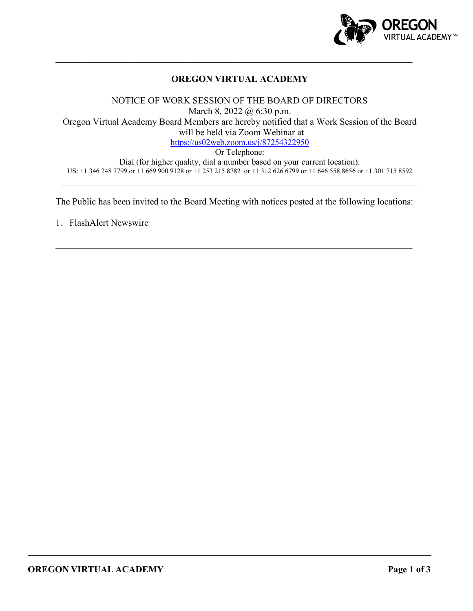

## **OREGON VIRTUAL ACADEMY**

 $\mathcal{L}_\mathcal{L} = \mathcal{L}_\mathcal{L} = \mathcal{L}_\mathcal{L} = \mathcal{L}_\mathcal{L} = \mathcal{L}_\mathcal{L} = \mathcal{L}_\mathcal{L} = \mathcal{L}_\mathcal{L} = \mathcal{L}_\mathcal{L} = \mathcal{L}_\mathcal{L} = \mathcal{L}_\mathcal{L} = \mathcal{L}_\mathcal{L} = \mathcal{L}_\mathcal{L} = \mathcal{L}_\mathcal{L} = \mathcal{L}_\mathcal{L} = \mathcal{L}_\mathcal{L} = \mathcal{L}_\mathcal{L} = \mathcal{L}_\mathcal{L}$ 

NOTICE OF WORK SESSION OF THE BOARD OF DIRECTORS March 8, 2022 @ 6:30 p.m. Oregon Virtual Academy Board Members are hereby notified that a Work Session of the Board will be held via Zoom Webinar at <https://us02web.zoom.us/j/87254322950> Or Telephone:

Dial (for higher quality, dial a number based on your current location): US: +1 346 248 7799 or +1 669 900 9128 or +1 253 215 8782 or +1 312 626 6799 or +1 646 558 8656 or +1 301 715 8592

The Public has been invited to the Board Meeting with notices posted at the following locations:

\_\_\_\_\_\_\_\_\_\_\_\_\_\_\_\_\_\_\_\_\_\_\_\_\_\_\_\_\_\_\_\_\_\_\_\_\_\_\_\_\_\_\_\_\_\_\_\_\_\_\_\_\_\_\_\_\_\_\_\_\_\_\_\_\_\_\_\_\_\_\_\_\_\_\_\_\_

1. FlashAlert Newswire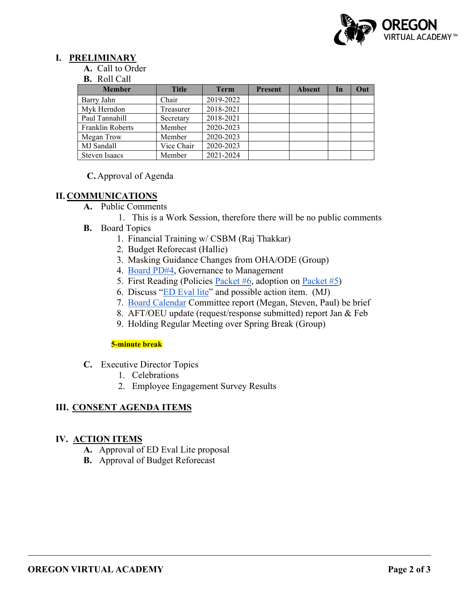

### **I. PRELIMINARY**

- **A.** Call to Order
- **B.** Roll Call

| <b>Member</b>        | <b>Title</b> | <b>Term</b> | <b>Present</b> | <b>Absent</b> | In | Out |
|----------------------|--------------|-------------|----------------|---------------|----|-----|
| Barry Jahn           | Chair        | 2019-2022   |                |               |    |     |
| Myk Herndon          | Treasurer    | 2018-2021   |                |               |    |     |
| Paul Tannahill       | Secretary    | 2018-2021   |                |               |    |     |
| Franklin Roberts     | Member       | 2020-2023   |                |               |    |     |
| Megan Trow           | Member       | 2020-2023   |                |               |    |     |
| MJ Sandall           | Vice Chair   | 2020-2023   |                |               |    |     |
| <b>Steven Isaacs</b> | Member       | 2021-2024   |                |               |    |     |

### **C.** Approval of Agenda

## **II. COMMUNICATIONS**

- **A.** Public Comments
	- 1. This is a Work Session, therefore there will be no public comments
- **B.** Board Topics
	- 1. Financial Training w/ CSBM (Raj Thakkar)
	- 2. Budget Reforecast (Hallie)
	- 3. Masking Guidance Changes from OHA/ODE (Group)
	- 4. [Board PD#4,](https://docs.google.com/document/d/1L-oGB-LHkpYUitcaT_4qKlN48Unvhw3l07DTBZ8UrRw/edit#bookmark=id.ynpadcrevqm9) Governance to Management
	- 5. First Reading (Policies [Packet #6,](https://drive.google.com/drive/folders/1CM7hFMR6riZ_Xd9d71jl9VWjYt6NuF4A?usp=sharing) adoption on [Packet #5\)](https://drive.google.com/drive/folders/1RL9qPJ_QLSzF2pvFT5dWP5H3iq6auU82?usp=sharing)
	- 6. Discuss ["ED Eval lite"](https://docs.google.com/document/d/1TiRPAYSnsIRoPUiMSw9ioUXgPOSMEbaN/edit?usp=sharing&ouid=106597705446116295027&rtpof=true&sd=true) and possible action item. (MJ)
	- 7. [Board Calendar](https://docs.google.com/document/d/1tVrSGJ6v5gCtv5NNlIoGCFS6zIGPmcuhm6aP9laESig/edit?usp=sharing) Committee report (Megan, Steven, Paul) be brief
	- 8. AFT/OEU update (request/response submitted) report Jan & Feb
	- 9. Holding Regular Meeting over Spring Break (Group)

#### **5-minute break**

- **C.** Executive Director Topics
	- 1. Celebrations
	- 2. Employee Engagement Survey Results

## **III. CONSENT AGENDA ITEMS**

### **IV. ACTION ITEMS**

- **A.** Approval of ED Eval Lite proposal
- **B.** Approval of Budget Reforecast